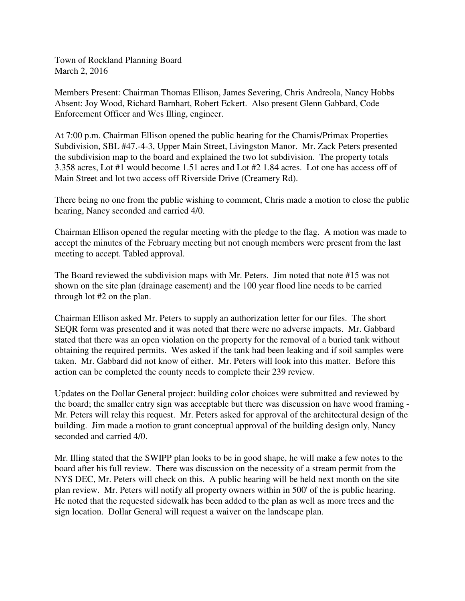Town of Rockland Planning Board March 2, 2016

Members Present: Chairman Thomas Ellison, James Severing, Chris Andreola, Nancy Hobbs Absent: Joy Wood, Richard Barnhart, Robert Eckert. Also present Glenn Gabbard, Code Enforcement Officer and Wes Illing, engineer.

At 7:00 p.m. Chairman Ellison opened the public hearing for the Chamis/Primax Properties Subdivision, SBL #47.-4-3, Upper Main Street, Livingston Manor. Mr. Zack Peters presented the subdivision map to the board and explained the two lot subdivision. The property totals 3.358 acres, Lot #1 would become 1.51 acres and Lot #2 1.84 acres. Lot one has access off of Main Street and lot two access off Riverside Drive (Creamery Rd).

There being no one from the public wishing to comment, Chris made a motion to close the public hearing, Nancy seconded and carried 4/0.

Chairman Ellison opened the regular meeting with the pledge to the flag. A motion was made to accept the minutes of the February meeting but not enough members were present from the last meeting to accept. Tabled approval.

The Board reviewed the subdivision maps with Mr. Peters. Jim noted that note #15 was not shown on the site plan (drainage easement) and the 100 year flood line needs to be carried through lot #2 on the plan.

Chairman Ellison asked Mr. Peters to supply an authorization letter for our files. The short SEQR form was presented and it was noted that there were no adverse impacts. Mr. Gabbard stated that there was an open violation on the property for the removal of a buried tank without obtaining the required permits. Wes asked if the tank had been leaking and if soil samples were taken. Mr. Gabbard did not know of either. Mr. Peters will look into this matter. Before this action can be completed the county needs to complete their 239 review.

Updates on the Dollar General project: building color choices were submitted and reviewed by the board; the smaller entry sign was acceptable but there was discussion on have wood framing - Mr. Peters will relay this request. Mr. Peters asked for approval of the architectural design of the building. Jim made a motion to grant conceptual approval of the building design only, Nancy seconded and carried 4/0.

Mr. Illing stated that the SWIPP plan looks to be in good shape, he will make a few notes to the board after his full review. There was discussion on the necessity of a stream permit from the NYS DEC, Mr. Peters will check on this. A public hearing will be held next month on the site plan review. Mr. Peters will notify all property owners within in 500' of the is public hearing. He noted that the requested sidewalk has been added to the plan as well as more trees and the sign location. Dollar General will request a waiver on the landscape plan.